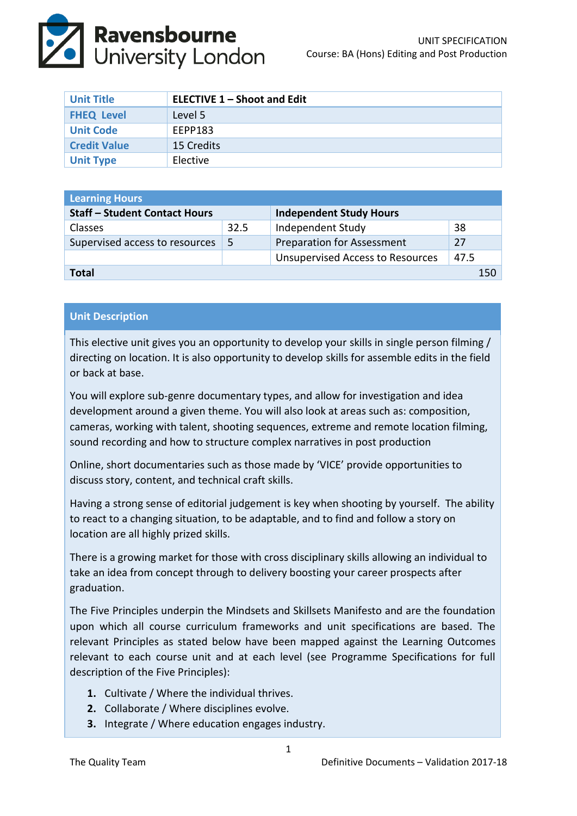

| <b>Unit Title</b>   | <b>ELECTIVE 1 - Shoot and Edit</b> |
|---------------------|------------------------------------|
| <b>FHEQ Level</b>   | Level 5                            |
| <b>Unit Code</b>    | EEPP183                            |
| <b>Credit Value</b> | 15 Credits                         |
| <b>Unit Type</b>    | Elective                           |

| <b>Learning Hours</b>                |      |                                         |      |  |
|--------------------------------------|------|-----------------------------------------|------|--|
| <b>Staff - Student Contact Hours</b> |      | <b>Independent Study Hours</b>          |      |  |
| <b>Classes</b>                       | 32.5 | Independent Study                       | 38   |  |
| Supervised access to resources       | -5   | <b>Preparation for Assessment</b>       | 27   |  |
|                                      |      | <b>Unsupervised Access to Resources</b> | 47.5 |  |
| Total<br>150                         |      |                                         |      |  |

## **Unit Description**

This elective unit gives you an opportunity to develop your skills in single person filming / directing on location. It is also opportunity to develop skills for assemble edits in the field or back at base.

You will explore sub-genre documentary types, and allow for investigation and idea development around a given theme. You will also look at areas such as: composition, cameras, working with talent, shooting sequences, extreme and remote location filming, sound recording and how to structure complex narratives in post production

Online, short documentaries such as those made by 'VICE' provide opportunities to discuss story, content, and technical craft skills.

Having a strong sense of editorial judgement is key when shooting by yourself. The ability to react to a changing situation, to be adaptable, and to find and follow a story on location are all highly prized skills.

There is a growing market for those with cross disciplinary skills allowing an individual to take an idea from concept through to delivery boosting your career prospects after graduation.

The Five Principles underpin the Mindsets and Skillsets Manifesto and are the foundation upon which all course curriculum frameworks and unit specifications are based. The relevant Principles as stated below have been mapped against the Learning Outcomes relevant to each course unit and at each level (see Programme Specifications for full description of the Five Principles):

- **1.** Cultivate / Where the individual thrives.
- **2.** Collaborate / Where disciplines evolve.
- **3.** Integrate / Where education engages industry.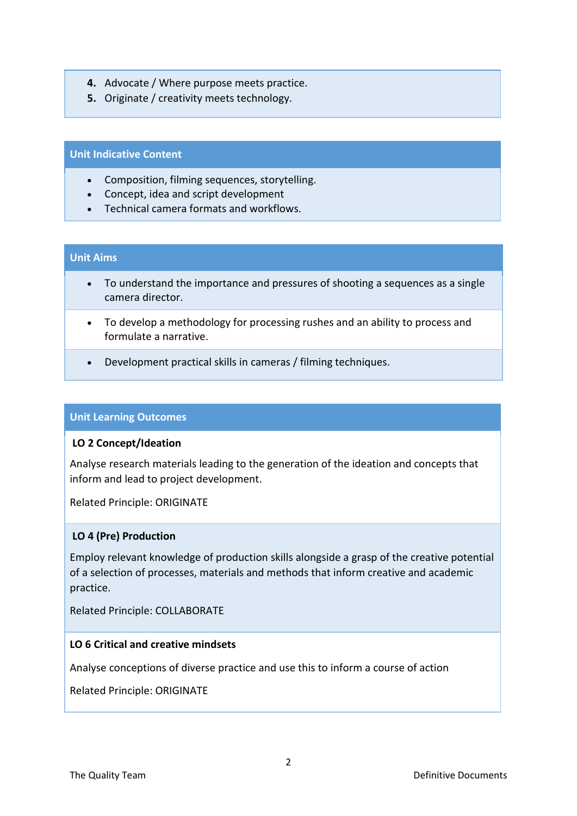- **4.** Advocate / Where purpose meets practice.
- **5.** Originate / creativity meets technology.

## **Unit Indicative Content**

- Composition, filming sequences, storytelling.
- Concept, idea and script development
- Technical camera formats and workflows.

# **Unit Aims**

- To understand the importance and pressures of shooting a sequences as a single camera director.
- To develop a methodology for processing rushes and an ability to process and formulate a narrative.
- Development practical skills in cameras / filming techniques.

## **Unit Learning Outcomes**

### **LO 2 Concept/Ideation**

Analyse research materials leading to the generation of the ideation and concepts that inform and lead to project development.

Related Principle: ORIGINATE

### **LO 4 (Pre) Production**

Employ relevant knowledge of production skills alongside a grasp of the creative potential of a selection of processes, materials and methods that inform creative and academic practice.

Related Principle: COLLABORATE

### **LO 6 Critical and creative mindsets**

Analyse conceptions of diverse practice and use this to inform a course of action

Related Principle: ORIGINATE